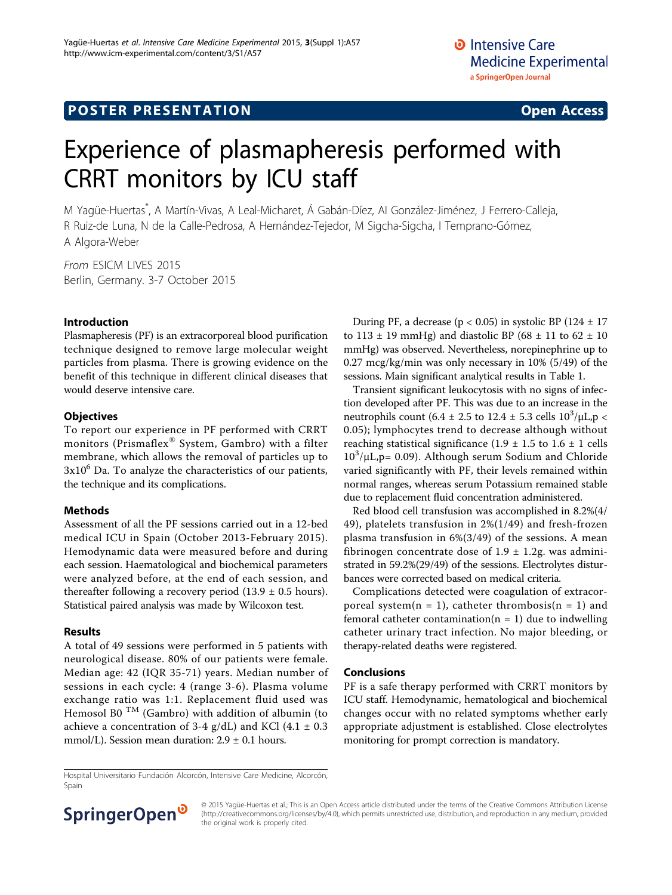## **POSTER PRESENTATION CONSUMING THE SERVICE SERVICE SERVICES**

# Experience of plasmapheresis performed with CRRT monitors by ICU staff

M Yagüe-Huertas\* , A Martín-Vivas, A Leal-Micharet, Á Gabán-Díez, AI González-Jiménez, J Ferrero-Calleja, R Ruiz-de Luna, N de la Calle-Pedrosa, A Hernández-Tejedor, M Sigcha-Sigcha, I Temprano-Gómez, A Algora-Weber

From ESICM LIVES 2015 Berlin, Germany. 3-7 October 2015

#### Introduction

Plasmapheresis (PF) is an extracorporeal blood purification technique designed to remove large molecular weight particles from plasma. There is growing evidence on the benefit of this technique in different clinical diseases that would deserve intensive care.

#### **Objectives**

To report our experience in PF performed with CRRT monitors (Prismaflex® System, Gambro) with a filter membrane, which allows the removal of particles up to  $3x10<sup>6</sup>$  Da. To analyze the characteristics of our patients, the technique and its complications.

#### Methods

Assessment of all the PF sessions carried out in a 12-bed medical ICU in Spain (October 2013-February 2015). Hemodynamic data were measured before and during each session. Haematological and biochemical parameters were analyzed before, at the end of each session, and thereafter following a recovery period  $(13.9 \pm 0.5 \text{ hours})$ . Statistical paired analysis was made by Wilcoxon test.

#### Results

A total of 49 sessions were performed in 5 patients with neurological disease. 80% of our patients were female. Median age: 42 (IQR 35-71) years. Median number of sessions in each cycle: 4 (range 3-6). Plasma volume exchange ratio was 1:1. Replacement fluid used was Hemosol B0<sup>TM</sup> (Gambro) with addition of albumin (to achieve a concentration of 3-4 g/dL) and KCl  $(4.1 \pm 0.3)$ mmol/L). Session mean duration:  $2.9 \pm 0.1$  hours.

During PF, a decrease ( $p < 0.05$ ) in systolic BP (124  $\pm$  17 to 113  $\pm$  19 mmHg) and diastolic BP (68  $\pm$  11 to 62  $\pm$  10 mmHg) was observed. Nevertheless, norepinephrine up to 0.27 mcg/kg/min was only necessary in 10% (5/49) of the sessions. Main significant analytical results in Table [1.](#page-1-0)

Transient significant leukocytosis with no signs of infection developed after PF. This was due to an increase in the neutrophils count (6.4  $\pm$  2.5 to 12.4  $\pm$  5.3 cells 10<sup>3</sup>/ $\mu$ L,p < 0.05); lymphocytes trend to decrease although without reaching statistical significance  $(1.9 \pm 1.5 \text{ to } 1.6 \pm 1 \text{ cells})$  $10^3/\mu L$ , p= 0.09). Although serum Sodium and Chloride varied significantly with PF, their levels remained within normal ranges, whereas serum Potassium remained stable due to replacement fluid concentration administered.

Red blood cell transfusion was accomplished in 8.2%(4/ 49), platelets transfusion in 2%(1/49) and fresh-frozen plasma transfusion in 6%(3/49) of the sessions. A mean fibrinogen concentrate dose of  $1.9 \pm 1.2$ g. was administrated in 59.2%(29/49) of the sessions. Electrolytes disturbances were corrected based on medical criteria.

Complications detected were coagulation of extracorporeal system( $n = 1$ ), catheter thrombosis( $n = 1$ ) and femoral catheter contamination( $n = 1$ ) due to indwelling catheter urinary tract infection. No major bleeding, or therapy-related deaths were registered.

#### Conclusions

PF is a safe therapy performed with CRRT monitors by ICU staff. Hemodynamic, hematological and biochemical changes occur with no related symptoms whether early appropriate adjustment is established. Close electrolytes monitoring for prompt correction is mandatory.

Hospital Universitario Fundación Alcorcón, Intensive Care Medicine, Alcorcón, Spain



© 2015 Yagüe-Huertas et al.; This is an Open Access article distributed under the terms of the Creative Commons Attribution License [\(http://creativecommons.org/licenses/by/4.0](http://creativecommons.org/licenses/by/4.0)), which permits unrestricted use, distribution, and reproduction in any medium, provided the original work is properly cited.